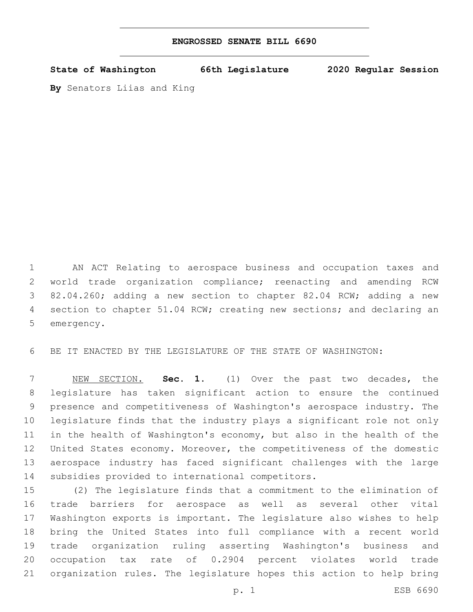| ENGROSSED SENATE BILL 6690 |  |  |  |  |
|----------------------------|--|--|--|--|
|----------------------------|--|--|--|--|

**State of Washington 66th Legislature 2020 Regular Session**

**By** Senators Liias and King

 AN ACT Relating to aerospace business and occupation taxes and world trade organization compliance; reenacting and amending RCW 82.04.260; adding a new section to chapter 82.04 RCW; adding a new 4 section to chapter 51.04 RCW; creating new sections; and declaring an 5 emergency.

BE IT ENACTED BY THE LEGISLATURE OF THE STATE OF WASHINGTON:

 NEW SECTION. **Sec. 1.** (1) Over the past two decades, the legislature has taken significant action to ensure the continued presence and competitiveness of Washington's aerospace industry. The legislature finds that the industry plays a significant role not only in the health of Washington's economy, but also in the health of the United States economy. Moreover, the competitiveness of the domestic aerospace industry has faced significant challenges with the large 14 subsidies provided to international competitors.

 (2) The legislature finds that a commitment to the elimination of trade barriers for aerospace as well as several other vital Washington exports is important. The legislature also wishes to help bring the United States into full compliance with a recent world trade organization ruling asserting Washington's business and occupation tax rate of 0.2904 percent violates world trade organization rules. The legislature hopes this action to help bring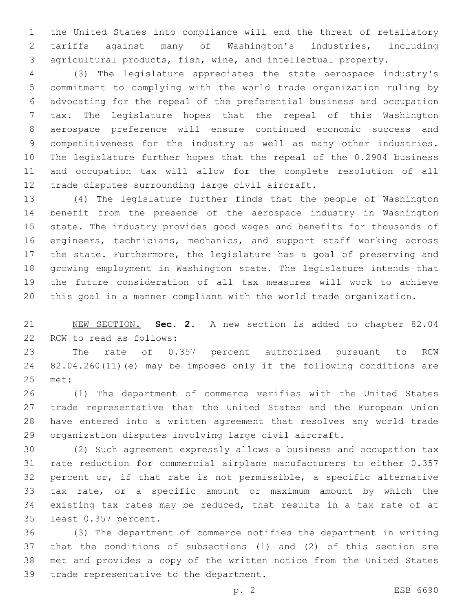the United States into compliance will end the threat of retaliatory tariffs against many of Washington's industries, including agricultural products, fish, wine, and intellectual property.

 (3) The legislature appreciates the state aerospace industry's commitment to complying with the world trade organization ruling by advocating for the repeal of the preferential business and occupation tax. The legislature hopes that the repeal of this Washington aerospace preference will ensure continued economic success and competitiveness for the industry as well as many other industries. The legislature further hopes that the repeal of the 0.2904 business and occupation tax will allow for the complete resolution of all 12 trade disputes surrounding large civil aircraft.

 (4) The legislature further finds that the people of Washington benefit from the presence of the aerospace industry in Washington state. The industry provides good wages and benefits for thousands of engineers, technicians, mechanics, and support staff working across the state. Furthermore, the legislature has a goal of preserving and growing employment in Washington state. The legislature intends that the future consideration of all tax measures will work to achieve this goal in a manner compliant with the world trade organization.

 NEW SECTION. **Sec. 2.** A new section is added to chapter 82.04 22 RCW to read as follows:

 The rate of 0.357 percent authorized pursuant to RCW 82.04.260(11)(e) may be imposed only if the following conditions are 25 met:

 (1) The department of commerce verifies with the United States trade representative that the United States and the European Union have entered into a written agreement that resolves any world trade organization disputes involving large civil aircraft.

 (2) Such agreement expressly allows a business and occupation tax rate reduction for commercial airplane manufacturers to either 0.357 percent or, if that rate is not permissible, a specific alternative tax rate, or a specific amount or maximum amount by which the existing tax rates may be reduced, that results in a tax rate of at 35 least 0.357 percent.

 (3) The department of commerce notifies the department in writing that the conditions of subsections (1) and (2) of this section are met and provides a copy of the written notice from the United States 39 trade representative to the department.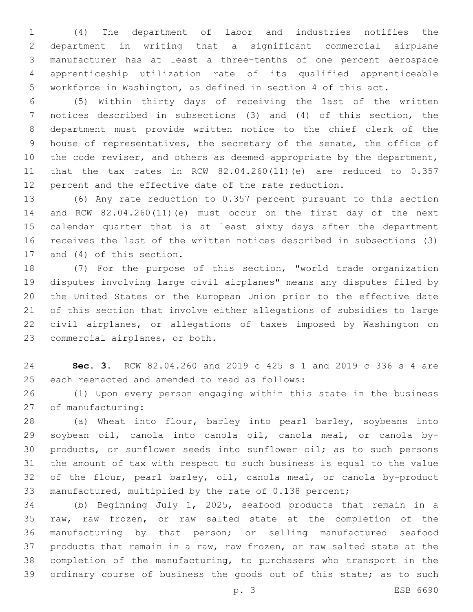(4) The department of labor and industries notifies the department in writing that a significant commercial airplane manufacturer has at least a three-tenths of one percent aerospace apprenticeship utilization rate of its qualified apprenticeable workforce in Washington, as defined in section 4 of this act.

 (5) Within thirty days of receiving the last of the written notices described in subsections (3) and (4) of this section, the department must provide written notice to the chief clerk of the house of representatives, the secretary of the senate, the office of 10 the code reviser, and others as deemed appropriate by the department, that the tax rates in RCW 82.04.260(11)(e) are reduced to 0.357 percent and the effective date of the rate reduction.

 (6) Any rate reduction to 0.357 percent pursuant to this section and RCW 82.04.260(11)(e) must occur on the first day of the next calendar quarter that is at least sixty days after the department receives the last of the written notices described in subsections (3) 17 and (4) of this section.

 (7) For the purpose of this section, "world trade organization disputes involving large civil airplanes" means any disputes filed by the United States or the European Union prior to the effective date of this section that involve either allegations of subsidies to large civil airplanes, or allegations of taxes imposed by Washington on 23 commercial airplanes, or both.

 **Sec. 3.** RCW 82.04.260 and 2019 c 425 s 1 and 2019 c 336 s 4 are 25 each reenacted and amended to read as follows:

 (1) Upon every person engaging within this state in the business 27 of manufacturing:

 (a) Wheat into flour, barley into pearl barley, soybeans into soybean oil, canola into canola oil, canola meal, or canola by- products, or sunflower seeds into sunflower oil; as to such persons the amount of tax with respect to such business is equal to the value of the flour, pearl barley, oil, canola meal, or canola by-product manufactured, multiplied by the rate of 0.138 percent;

 (b) Beginning July 1, 2025, seafood products that remain in a raw, raw frozen, or raw salted state at the completion of the manufacturing by that person; or selling manufactured seafood products that remain in a raw, raw frozen, or raw salted state at the completion of the manufacturing, to purchasers who transport in the 39 ordinary course of business the goods out of this state; as to such

p. 3 ESB 6690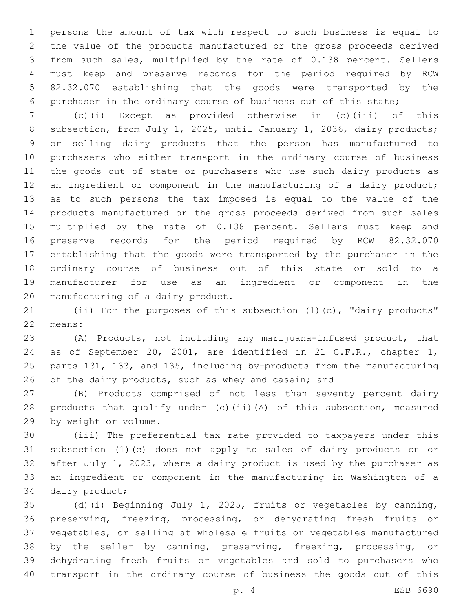persons the amount of tax with respect to such business is equal to the value of the products manufactured or the gross proceeds derived from such sales, multiplied by the rate of 0.138 percent. Sellers must keep and preserve records for the period required by RCW 82.32.070 establishing that the goods were transported by the purchaser in the ordinary course of business out of this state;

 (c)(i) Except as provided otherwise in (c)(iii) of this 8 subsection, from July 1, 2025, until January 1, 2036, dairy products; or selling dairy products that the person has manufactured to purchasers who either transport in the ordinary course of business the goods out of state or purchasers who use such dairy products as 12 an ingredient or component in the manufacturing of a dairy product; as to such persons the tax imposed is equal to the value of the products manufactured or the gross proceeds derived from such sales multiplied by the rate of 0.138 percent. Sellers must keep and preserve records for the period required by RCW 82.32.070 establishing that the goods were transported by the purchaser in the ordinary course of business out of this state or sold to a manufacturer for use as an ingredient or component in the 20 manufacturing of a dairy product.

 (ii) For the purposes of this subsection (1)(c), "dairy products" 22 means:

 (A) Products, not including any marijuana-infused product, that as of September 20, 2001, are identified in 21 C.F.R., chapter 1, parts 131, 133, and 135, including by-products from the manufacturing 26 of the dairy products, such as whey and casein; and

 (B) Products comprised of not less than seventy percent dairy products that qualify under (c)(ii)(A) of this subsection, measured 29 by weight or volume.

 (iii) The preferential tax rate provided to taxpayers under this subsection (1)(c) does not apply to sales of dairy products on or after July 1, 2023, where a dairy product is used by the purchaser as an ingredient or component in the manufacturing in Washington of a 34 dairy product;

 (d)(i) Beginning July 1, 2025, fruits or vegetables by canning, preserving, freezing, processing, or dehydrating fresh fruits or vegetables, or selling at wholesale fruits or vegetables manufactured by the seller by canning, preserving, freezing, processing, or dehydrating fresh fruits or vegetables and sold to purchasers who transport in the ordinary course of business the goods out of this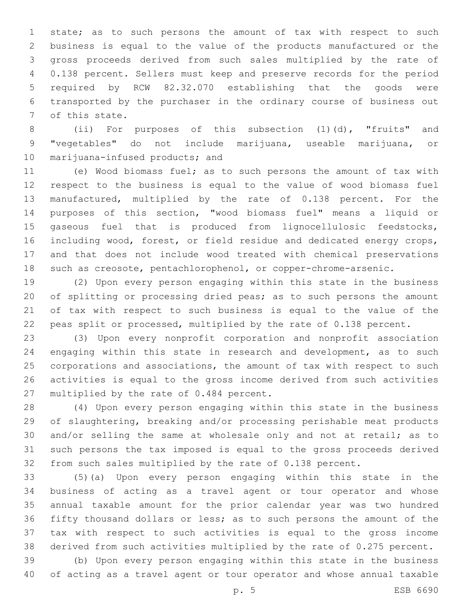state; as to such persons the amount of tax with respect to such business is equal to the value of the products manufactured or the gross proceeds derived from such sales multiplied by the rate of 0.138 percent. Sellers must keep and preserve records for the period required by RCW 82.32.070 establishing that the goods were transported by the purchaser in the ordinary course of business out 7 of this state.

 (ii) For purposes of this subsection (1)(d), "fruits" and "vegetables" do not include marijuana, useable marijuana, or 10 marijuana-infused products; and

 (e) Wood biomass fuel; as to such persons the amount of tax with respect to the business is equal to the value of wood biomass fuel manufactured, multiplied by the rate of 0.138 percent. For the purposes of this section, "wood biomass fuel" means a liquid or gaseous fuel that is produced from lignocellulosic feedstocks, including wood, forest, or field residue and dedicated energy crops, and that does not include wood treated with chemical preservations such as creosote, pentachlorophenol, or copper-chrome-arsenic.

 (2) Upon every person engaging within this state in the business of splitting or processing dried peas; as to such persons the amount of tax with respect to such business is equal to the value of the peas split or processed, multiplied by the rate of 0.138 percent.

 (3) Upon every nonprofit corporation and nonprofit association engaging within this state in research and development, as to such corporations and associations, the amount of tax with respect to such activities is equal to the gross income derived from such activities 27 multiplied by the rate of 0.484 percent.

 (4) Upon every person engaging within this state in the business of slaughtering, breaking and/or processing perishable meat products and/or selling the same at wholesale only and not at retail; as to such persons the tax imposed is equal to the gross proceeds derived from such sales multiplied by the rate of 0.138 percent.

 (5)(a) Upon every person engaging within this state in the business of acting as a travel agent or tour operator and whose annual taxable amount for the prior calendar year was two hundred fifty thousand dollars or less; as to such persons the amount of the tax with respect to such activities is equal to the gross income derived from such activities multiplied by the rate of 0.275 percent.

 (b) Upon every person engaging within this state in the business of acting as a travel agent or tour operator and whose annual taxable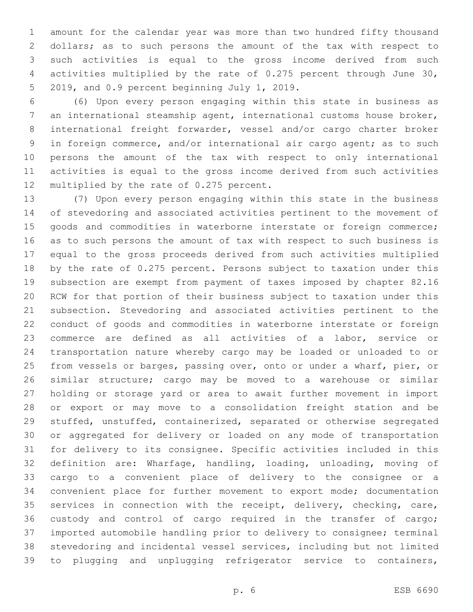amount for the calendar year was more than two hundred fifty thousand dollars; as to such persons the amount of the tax with respect to such activities is equal to the gross income derived from such activities multiplied by the rate of 0.275 percent through June 30, 5 2019, and 0.9 percent beginning July 1, 2019.

 (6) Upon every person engaging within this state in business as an international steamship agent, international customs house broker, international freight forwarder, vessel and/or cargo charter broker in foreign commerce, and/or international air cargo agent; as to such persons the amount of the tax with respect to only international activities is equal to the gross income derived from such activities 12 multiplied by the rate of 0.275 percent.

 (7) Upon every person engaging within this state in the business of stevedoring and associated activities pertinent to the movement of 15 goods and commodities in waterborne interstate or foreign commerce; as to such persons the amount of tax with respect to such business is equal to the gross proceeds derived from such activities multiplied by the rate of 0.275 percent. Persons subject to taxation under this subsection are exempt from payment of taxes imposed by chapter 82.16 RCW for that portion of their business subject to taxation under this subsection. Stevedoring and associated activities pertinent to the conduct of goods and commodities in waterborne interstate or foreign commerce are defined as all activities of a labor, service or transportation nature whereby cargo may be loaded or unloaded to or from vessels or barges, passing over, onto or under a wharf, pier, or similar structure; cargo may be moved to a warehouse or similar holding or storage yard or area to await further movement in import or export or may move to a consolidation freight station and be stuffed, unstuffed, containerized, separated or otherwise segregated or aggregated for delivery or loaded on any mode of transportation for delivery to its consignee. Specific activities included in this definition are: Wharfage, handling, loading, unloading, moving of cargo to a convenient place of delivery to the consignee or a convenient place for further movement to export mode; documentation services in connection with the receipt, delivery, checking, care, custody and control of cargo required in the transfer of cargo; imported automobile handling prior to delivery to consignee; terminal stevedoring and incidental vessel services, including but not limited to plugging and unplugging refrigerator service to containers,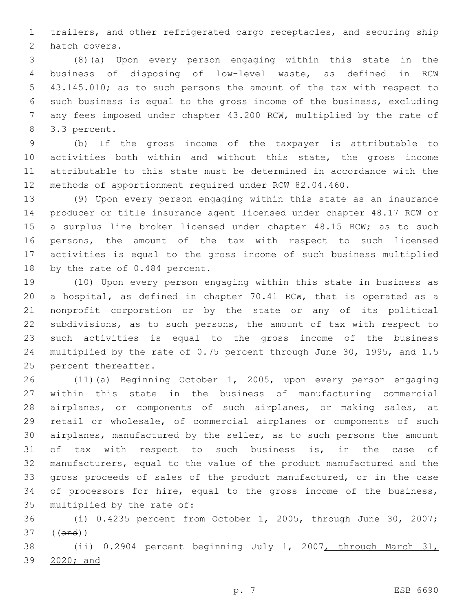trailers, and other refrigerated cargo receptacles, and securing ship 2 hatch covers.

 (8)(a) Upon every person engaging within this state in the business of disposing of low-level waste, as defined in RCW 43.145.010; as to such persons the amount of the tax with respect to such business is equal to the gross income of the business, excluding any fees imposed under chapter 43.200 RCW, multiplied by the rate of 8 3.3 percent.

 (b) If the gross income of the taxpayer is attributable to activities both within and without this state, the gross income attributable to this state must be determined in accordance with the methods of apportionment required under RCW 82.04.460.

 (9) Upon every person engaging within this state as an insurance producer or title insurance agent licensed under chapter 48.17 RCW or 15 a surplus line broker licensed under chapter 48.15 RCW; as to such persons, the amount of the tax with respect to such licensed activities is equal to the gross income of such business multiplied 18 by the rate of 0.484 percent.

 (10) Upon every person engaging within this state in business as a hospital, as defined in chapter 70.41 RCW, that is operated as a nonprofit corporation or by the state or any of its political subdivisions, as to such persons, the amount of tax with respect to such activities is equal to the gross income of the business multiplied by the rate of 0.75 percent through June 30, 1995, and 1.5 25 percent thereafter.

 (11)(a) Beginning October 1, 2005, upon every person engaging within this state in the business of manufacturing commercial airplanes, or components of such airplanes, or making sales, at retail or wholesale, of commercial airplanes or components of such airplanes, manufactured by the seller, as to such persons the amount of tax with respect to such business is, in the case of manufacturers, equal to the value of the product manufactured and the gross proceeds of sales of the product manufactured, or in the case 34 of processors for hire, equal to the gross income of the business, 35 multiplied by the rate of:

 (i) 0.4235 percent from October 1, 2005, through June 30, 2007; ((and))

 (ii) 0.2904 percent beginning July 1, 2007, through March 31, 2020; and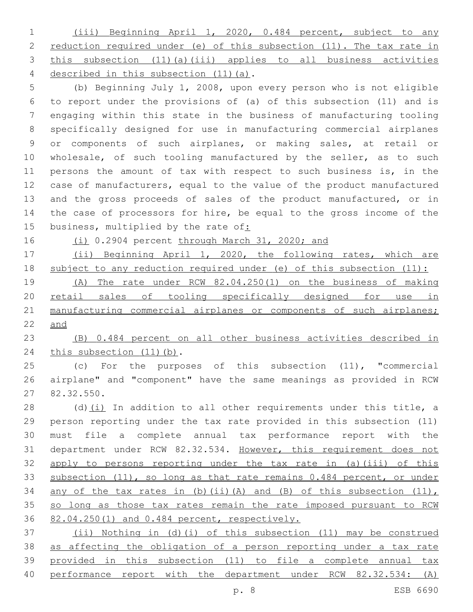(iii) Beginning April 1, 2020, 0.484 percent, subject to any 2 reduction required under (e) of this subsection (11). The tax rate in this subsection (11)(a)(iii) applies to all business activities 4 described in this subsection (11)(a).

 (b) Beginning July 1, 2008, upon every person who is not eligible to report under the provisions of (a) of this subsection (11) and is engaging within this state in the business of manufacturing tooling specifically designed for use in manufacturing commercial airplanes or components of such airplanes, or making sales, at retail or 10 wholesale, of such tooling manufactured by the seller, as to such persons the amount of tax with respect to such business is, in the case of manufacturers, equal to the value of the product manufactured and the gross proceeds of sales of the product manufactured, or in the case of processors for hire, be equal to the gross income of the business, multiplied by the rate of:

16 (i) 0.2904 percent through March 31, 2020; and

 (ii) Beginning April 1, 2020, the following rates, which are subject to any reduction required under (e) of this subsection (11):

 (A) The rate under RCW 82.04.250(1) on the business of making 20 retail sales of tooling specifically designed for use in 21 manufacturing commercial airplanes or components of such airplanes; and

 (B) 0.484 percent on all other business activities described in 24 this subsection (11)(b).

 (c) For the purposes of this subsection (11), "commercial airplane" and "component" have the same meanings as provided in RCW 82.32.550.27

28 (d) $(i)$  In addition to all other requirements under this title, a person reporting under the tax rate provided in this subsection (11) must file a complete annual tax performance report with the department under RCW 82.32.534. However, this requirement does not apply to persons reporting under the tax rate in (a)(iii) of this subsection (11), so long as that rate remains 0.484 percent, or under 34 any of the tax rates in (b)(ii)(A) and (B) of this subsection  $(11)$ , 35 so long as those tax rates remain the rate imposed pursuant to RCW 82.04.250(1) and 0.484 percent, respectively.

 (ii) Nothing in (d)(i) of this subsection (11) may be construed as affecting the obligation of a person reporting under a tax rate provided in this subsection (11) to file a complete annual tax performance report with the department under RCW 82.32.534: (A)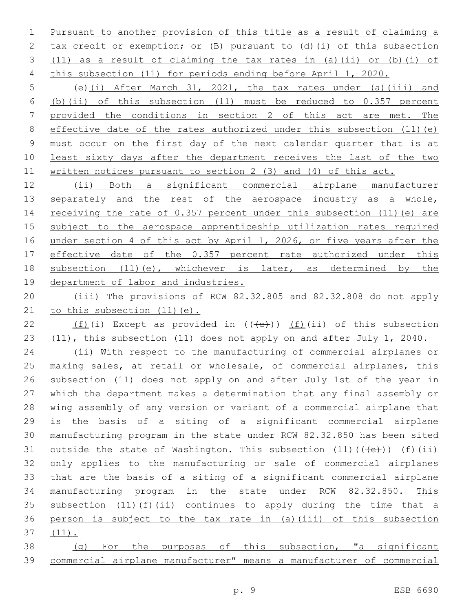Pursuant to another provision of this title as a result of claiming a tax credit or exemption; or (B) pursuant to (d)(i) of this subsection (11) as a result of claiming the tax rates in (a)(ii) or (b)(i) of this subsection (11) for periods ending before April 1, 2020.

 (e)(i) After March 31, 2021, the tax rates under (a)(iii) and (b)(ii) of this subsection (11) must be reduced to 0.357 percent provided the conditions in section 2 of this act are met. The 8 effective date of the rates authorized under this subsection (11)(e) must occur on the first day of the next calendar quarter that is at least sixty days after the department receives the last of the two written notices pursuant to section 2 (3) and (4) of this act.

 (ii) Both a significant commercial airplane manufacturer 13 separately and the rest of the aerospace industry as a whole, receiving the rate of 0.357 percent under this subsection (11)(e) are subject to the aerospace apprenticeship utilization rates required 16 under section 4 of this act by April 1, 2026, or five years after the effective date of the 0.357 percent rate authorized under this 18 subsection (11)(e), whichever is later, as determined by the department of labor and industries.

 (iii) The provisions of RCW 82.32.805 and 82.32.808 do not apply 21 to this subsection (11) (e).

22 (f)(i) Except as provided in  $((+e+))$  (f)(ii) of this subsection (11), this subsection (11) does not apply on and after July 1, 2040.

 (ii) With respect to the manufacturing of commercial airplanes or making sales, at retail or wholesale, of commercial airplanes, this subsection (11) does not apply on and after July 1st of the year in which the department makes a determination that any final assembly or wing assembly of any version or variant of a commercial airplane that is the basis of a siting of a significant commercial airplane manufacturing program in the state under RCW 82.32.850 has been sited 31 outside the state of Washington. This subsection  $(11)$   $((+e+))$   $(f)$  $(ii)$  only applies to the manufacturing or sale of commercial airplanes that are the basis of a siting of a significant commercial airplane manufacturing program in the state under RCW 82.32.850. This subsection (11)(f)(ii) continues to apply during the time that a 36 person is subject to the tax rate in (a)(iii) of this subsection (11).

 (g) For the purposes of this subsection, "a significant commercial airplane manufacturer" means a manufacturer of commercial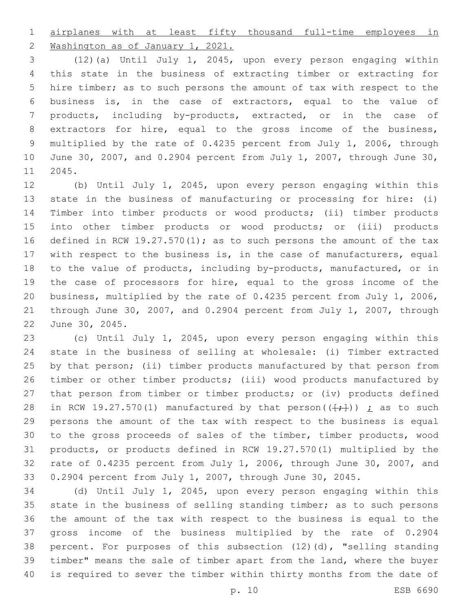airplanes with at least fifty thousand full-time employees in

2 Washington as of January 1, 2021.

 (12)(a) Until July 1, 2045, upon every person engaging within this state in the business of extracting timber or extracting for hire timber; as to such persons the amount of tax with respect to the business is, in the case of extractors, equal to the value of products, including by-products, extracted, or in the case of extractors for hire, equal to the gross income of the business, multiplied by the rate of 0.4235 percent from July 1, 2006, through June 30, 2007, and 0.2904 percent from July 1, 2007, through June 30, 11 2045.

 (b) Until July 1, 2045, upon every person engaging within this state in the business of manufacturing or processing for hire: (i) Timber into timber products or wood products; (ii) timber products into other timber products or wood products; or (iii) products defined in RCW 19.27.570(1); as to such persons the amount of the tax with respect to the business is, in the case of manufacturers, equal to the value of products, including by-products, manufactured, or in the case of processors for hire, equal to the gross income of the business, multiplied by the rate of 0.4235 percent from July 1, 2006, through June 30, 2007, and 0.2904 percent from July 1, 2007, through 22 June 30, 2045.

 (c) Until July 1, 2045, upon every person engaging within this state in the business of selling at wholesale: (i) Timber extracted by that person; (ii) timber products manufactured by that person from timber or other timber products; (iii) wood products manufactured by that person from timber or timber products; or (iv) products defined 28 in RCW 19.27.570(1) manufactured by that person( $(\frac{+}{+})$ )  $\frac{1}{L}$  as to such persons the amount of the tax with respect to the business is equal to the gross proceeds of sales of the timber, timber products, wood products, or products defined in RCW 19.27.570(1) multiplied by the rate of 0.4235 percent from July 1, 2006, through June 30, 2007, and 0.2904 percent from July 1, 2007, through June 30, 2045.

 (d) Until July 1, 2045, upon every person engaging within this state in the business of selling standing timber; as to such persons the amount of the tax with respect to the business is equal to the gross income of the business multiplied by the rate of 0.2904 percent. For purposes of this subsection (12)(d), "selling standing timber" means the sale of timber apart from the land, where the buyer is required to sever the timber within thirty months from the date of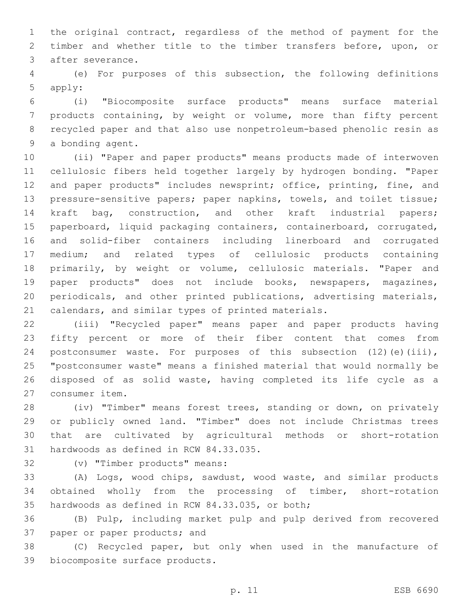the original contract, regardless of the method of payment for the timber and whether title to the timber transfers before, upon, or 3 after severance.

 (e) For purposes of this subsection, the following definitions 5 apply:

 (i) "Biocomposite surface products" means surface material products containing, by weight or volume, more than fifty percent recycled paper and that also use nonpetroleum-based phenolic resin as 9 a bonding agent.

 (ii) "Paper and paper products" means products made of interwoven cellulosic fibers held together largely by hydrogen bonding. "Paper 12 and paper products" includes newsprint; office, printing, fine, and pressure-sensitive papers; paper napkins, towels, and toilet tissue; kraft bag, construction, and other kraft industrial papers; paperboard, liquid packaging containers, containerboard, corrugated, and solid-fiber containers including linerboard and corrugated medium; and related types of cellulosic products containing primarily, by weight or volume, cellulosic materials. "Paper and paper products" does not include books, newspapers, magazines, periodicals, and other printed publications, advertising materials, calendars, and similar types of printed materials.

 (iii) "Recycled paper" means paper and paper products having fifty percent or more of their fiber content that comes from 24 postconsumer waste. For purposes of this subsection (12)(e)(iii), "postconsumer waste" means a finished material that would normally be disposed of as solid waste, having completed its life cycle as a 27 consumer item.

 (iv) "Timber" means forest trees, standing or down, on privately or publicly owned land. "Timber" does not include Christmas trees that are cultivated by agricultural methods or short-rotation 31 hardwoods as defined in RCW 84.33.035.

32 (v) "Timber products" means:

 (A) Logs, wood chips, sawdust, wood waste, and similar products obtained wholly from the processing of timber, short-rotation 35 hardwoods as defined in RCW 84.33.035, or both;

 (B) Pulp, including market pulp and pulp derived from recovered 37 paper or paper products; and

 (C) Recycled paper, but only when used in the manufacture of 39 biocomposite surface products.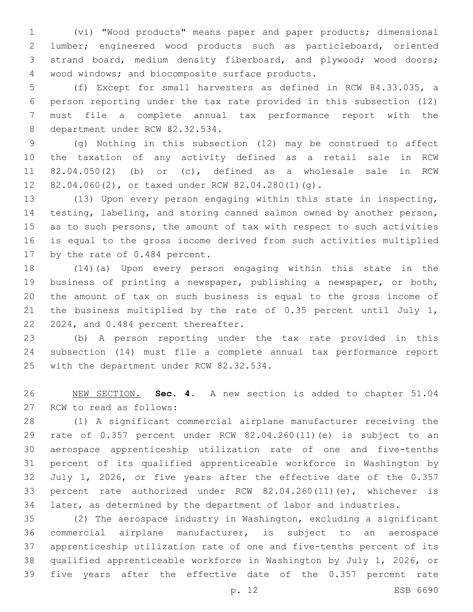(vi) "Wood products" means paper and paper products; dimensional lumber; engineered wood products such as particleboard, oriented strand board, medium density fiberboard, and plywood; wood doors; 4 wood windows; and biocomposite surface products.

 (f) Except for small harvesters as defined in RCW 84.33.035, a person reporting under the tax rate provided in this subsection (12) must file a complete annual tax performance report with the 8 department under RCW 82.32.534.

 (g) Nothing in this subsection (12) may be construed to affect the taxation of any activity defined as a retail sale in RCW 82.04.050(2) (b) or (c), defined as a wholesale sale in RCW 12 82.04.060(2), or taxed under RCW 82.04.280(1)(g).

 (13) Upon every person engaging within this state in inspecting, testing, labeling, and storing canned salmon owned by another person, as to such persons, the amount of tax with respect to such activities is equal to the gross income derived from such activities multiplied 17 by the rate of 0.484 percent.

 (14)(a) Upon every person engaging within this state in the business of printing a newspaper, publishing a newspaper, or both, the amount of tax on such business is equal to the gross income of 21 the business multiplied by the rate of 0.35 percent until July 1, 22 2024, and 0.484 percent thereafter.

 (b) A person reporting under the tax rate provided in this subsection (14) must file a complete annual tax performance report 25 with the department under RCW 82.32.534.

 NEW SECTION. **Sec. 4.** A new section is added to chapter 51.04 27 RCW to read as follows:

 (1) A significant commercial airplane manufacturer receiving the rate of 0.357 percent under RCW 82.04.260(11)(e) is subject to an aerospace apprenticeship utilization rate of one and five-tenths percent of its qualified apprenticeable workforce in Washington by July 1, 2026, or five years after the effective date of the 0.357 percent rate authorized under RCW 82.04.260(11)(e), whichever is later, as determined by the department of labor and industries.

 (2) The aerospace industry in Washington, excluding a significant commercial airplane manufacturer, is subject to an aerospace apprenticeship utilization rate of one and five-tenths percent of its qualified apprenticeable workforce in Washington by July 1, 2026, or five years after the effective date of the 0.357 percent rate

p. 12 ESB 6690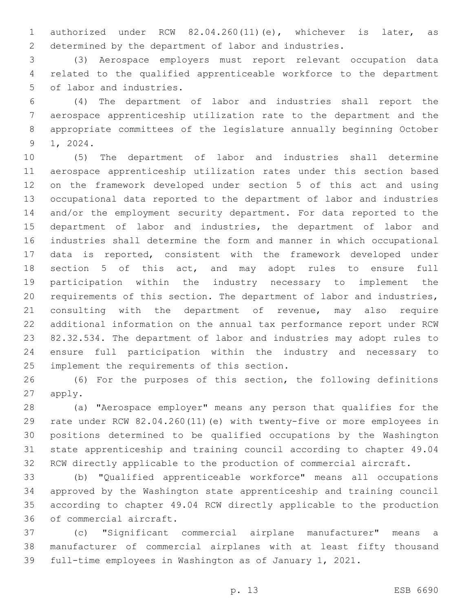authorized under RCW 82.04.260(11)(e), whichever is later, as determined by the department of labor and industries.

 (3) Aerospace employers must report relevant occupation data related to the qualified apprenticeable workforce to the department 5 of labor and industries.

 (4) The department of labor and industries shall report the aerospace apprenticeship utilization rate to the department and the appropriate committees of the legislature annually beginning October 9 1, 2024.

 (5) The department of labor and industries shall determine aerospace apprenticeship utilization rates under this section based on the framework developed under section 5 of this act and using occupational data reported to the department of labor and industries and/or the employment security department. For data reported to the department of labor and industries, the department of labor and industries shall determine the form and manner in which occupational data is reported, consistent with the framework developed under section 5 of this act, and may adopt rules to ensure full participation within the industry necessary to implement the requirements of this section. The department of labor and industries, consulting with the department of revenue, may also require additional information on the annual tax performance report under RCW 82.32.534. The department of labor and industries may adopt rules to ensure full participation within the industry and necessary to 25 implement the requirements of this section.

 (6) For the purposes of this section, the following definitions 27 apply.

 (a) "Aerospace employer" means any person that qualifies for the rate under RCW 82.04.260(11)(e) with twenty-five or more employees in positions determined to be qualified occupations by the Washington state apprenticeship and training council according to chapter 49.04 RCW directly applicable to the production of commercial aircraft.

 (b) "Qualified apprenticeable workforce" means all occupations approved by the Washington state apprenticeship and training council according to chapter 49.04 RCW directly applicable to the production 36 of commercial aircraft.

 (c) "Significant commercial airplane manufacturer" means a manufacturer of commercial airplanes with at least fifty thousand full-time employees in Washington as of January 1, 2021.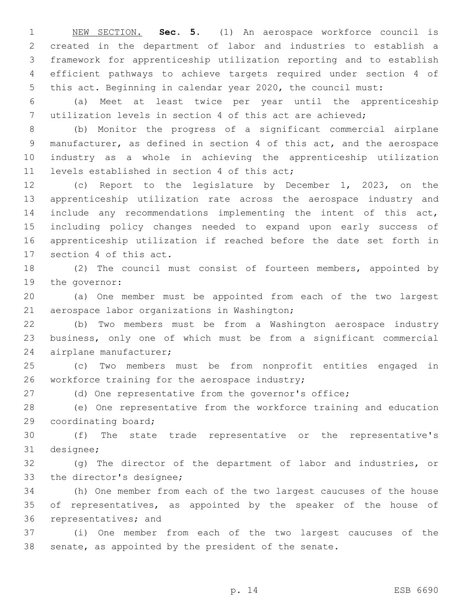NEW SECTION. **Sec. 5.** (1) An aerospace workforce council is created in the department of labor and industries to establish a framework for apprenticeship utilization reporting and to establish efficient pathways to achieve targets required under section 4 of this act. Beginning in calendar year 2020, the council must:

 (a) Meet at least twice per year until the apprenticeship utilization levels in section 4 of this act are achieved;

 (b) Monitor the progress of a significant commercial airplane manufacturer, as defined in section 4 of this act, and the aerospace industry as a whole in achieving the apprenticeship utilization 11 levels established in section 4 of this act;

 (c) Report to the legislature by December 1, 2023, on the apprenticeship utilization rate across the aerospace industry and include any recommendations implementing the intent of this act, including policy changes needed to expand upon early success of apprenticeship utilization if reached before the date set forth in 17 section 4 of this act.

 (2) The council must consist of fourteen members, appointed by 19 the governor:

 (a) One member must be appointed from each of the two largest 21 aerospace labor organizations in Washington;

 (b) Two members must be from a Washington aerospace industry business, only one of which must be from a significant commercial 24 airplane manufacturer;

 (c) Two members must be from nonprofit entities engaged in 26 workforce training for the aerospace industry;

(d) One representative from the governor's office;

 (e) One representative from the workforce training and education 29 coordinating board;

 (f) The state trade representative or the representative's 31 designee;

 (g) The director of the department of labor and industries, or 33 the director's designee;

 (h) One member from each of the two largest caucuses of the house of representatives, as appointed by the speaker of the house of 36 representatives; and

 (i) One member from each of the two largest caucuses of the senate, as appointed by the president of the senate.